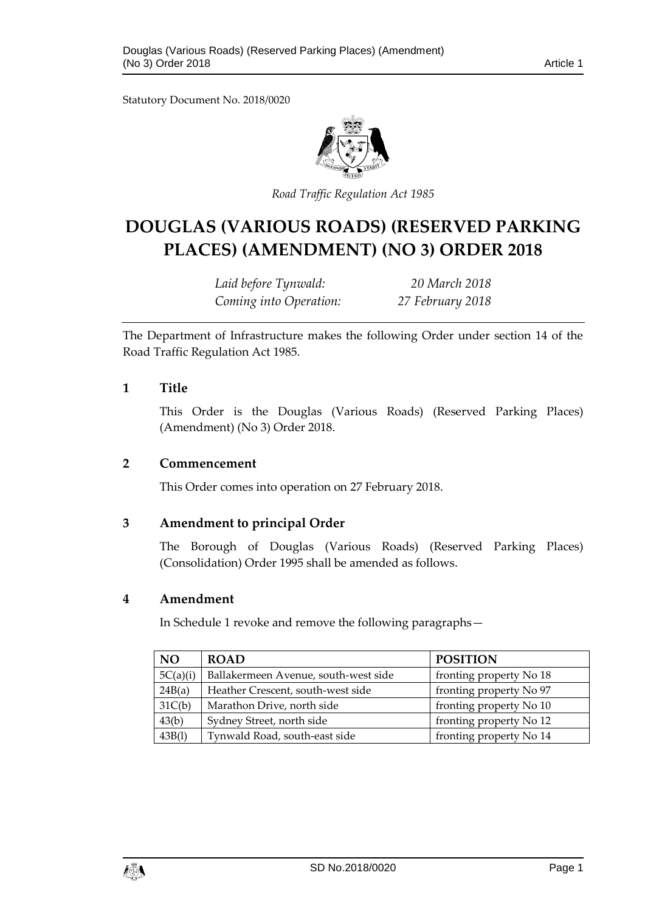Statutory Document No. 2018/0020



*Road Traffic Regulation Act 1985*

# **DOUGLAS (VARIOUS ROADS) (RESERVED PARKING PLACES) (AMENDMENT) (NO 3) ORDER 2018**

*Laid before Tynwald: 20 March 2018 Coming into Operation: 27 February 2018*

The Department of Infrastructure makes the following Order under section 14 of the Road Traffic Regulation Act 1985.

#### **1 Title**

This Order is the Douglas (Various Roads) (Reserved Parking Places) (Amendment) (No 3) Order 2018.

#### **2 Commencement**

This Order comes into operation on 27 February 2018.

### **3 Amendment to principal Order**

The Borough of Douglas (Various Roads) (Reserved Parking Places) (Consolidation) Order 1995 shall be amended as follows.

#### **4 Amendment**

In Schedule 1 revoke and remove the following paragraphs—

| <b>NO</b> | <b>ROAD</b>                          | <b>POSITION</b>         |
|-----------|--------------------------------------|-------------------------|
| 5C(a)(i)  | Ballakermeen Avenue, south-west side | fronting property No 18 |
| 24B(a)    | Heather Crescent, south-west side    | fronting property No 97 |
| 31C(b)    | Marathon Drive, north side           | fronting property No 10 |
| 43(b)     | Sydney Street, north side            | fronting property No 12 |
| 43B(1)    | Tynwald Road, south-east side        | fronting property No 14 |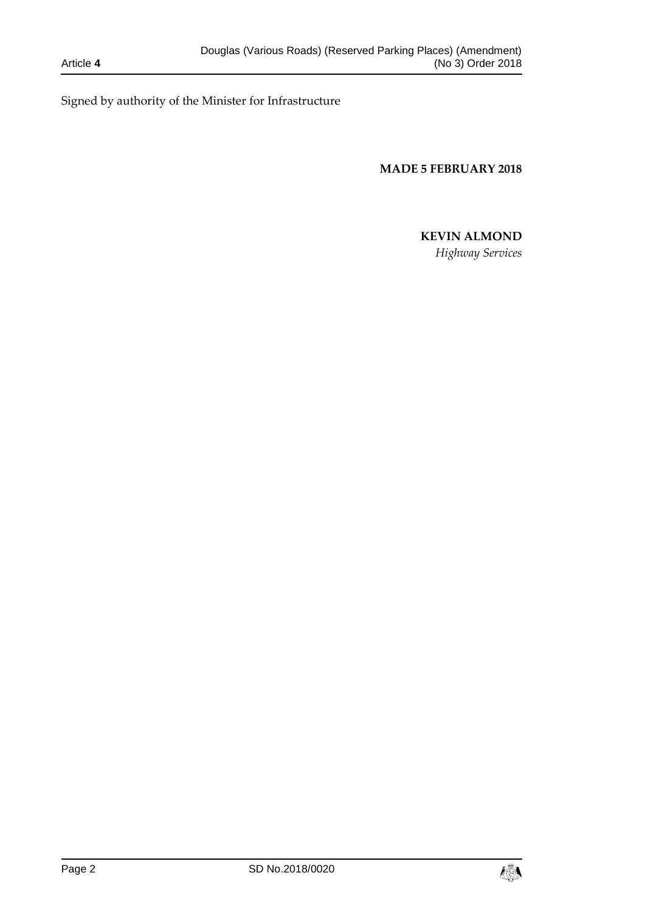Signed by authority of the Minister for Infrastructure

**MADE 5 FEBRUARY 2018**

# **KEVIN ALMOND**

*Highway Services*